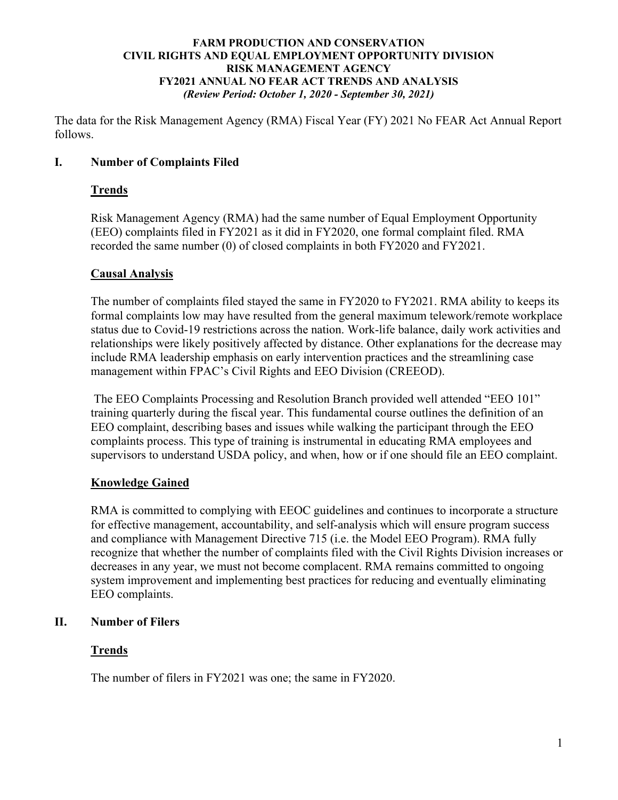The data for the Risk Management Agency (RMA) Fiscal Year (FY) 2021 No FEAR Act Annual Report follows.

# **I. Number of Complaints Filed**

# **Trends**

Risk Management Agency (RMA) had the same number of Equal Employment Opportunity (EEO) complaints filed in FY2021 as it did in FY2020, one formal complaint filed. RMA recorded the same number (0) of closed complaints in both FY2020 and FY2021.

# **Causal Analysis**

The number of complaints filed stayed the same in FY2020 to FY2021. RMA ability to keeps its formal complaints low may have resulted from the general maximum telework/remote workplace status due to Covid-19 restrictions across the nation. Work-life balance, daily work activities and relationships were likely positively affected by distance. Other explanations for the decrease may include RMA leadership emphasis on early intervention practices and the streamlining case management within FPAC's Civil Rights and EEO Division (CREEOD).

The EEO Complaints Processing and Resolution Branch provided well attended "EEO 101" training quarterly during the fiscal year. This fundamental course outlines the definition of an EEO complaint, describing bases and issues while walking the participant through the EEO complaints process. This type of training is instrumental in educating RMA employees and supervisors to understand USDA policy, and when, how or if one should file an EEO complaint.

# **Knowledge Gained**

RMA is committed to complying with EEOC guidelines and continues to incorporate a structure for effective management, accountability, and self-analysis which will ensure program success and compliance with Management Directive 715 (i.e. the Model EEO Program). RMA fully recognize that whether the number of complaints filed with the Civil Rights Division increases or decreases in any year, we must not become complacent. RMA remains committed to ongoing system improvement and implementing best practices for reducing and eventually eliminating EEO complaints.

# **II. Number of Filers**

# **Trends**

The number of filers in FY2021 was one; the same in FY2020.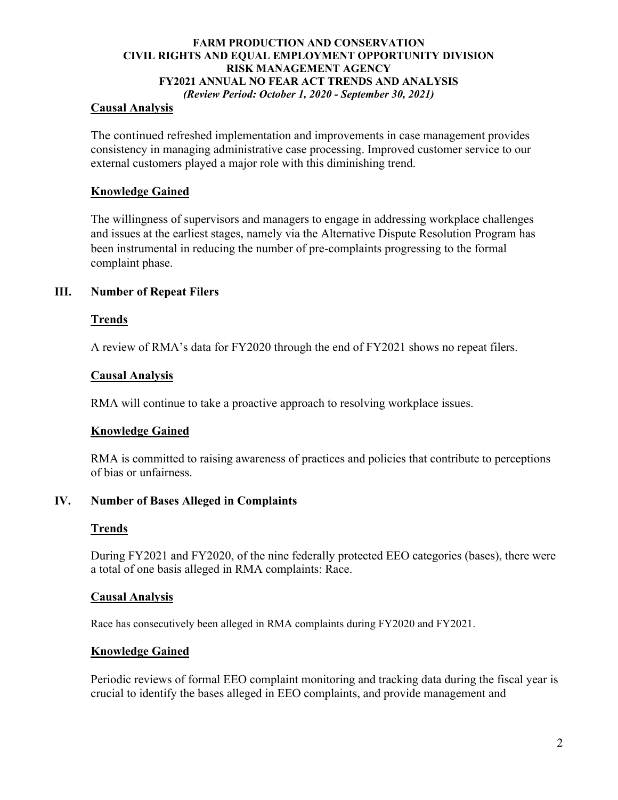## **Causal Analysis**

The continued refreshed implementation and improvements in case management provides consistency in managing administrative case processing. Improved customer service to our external customers played a major role with this diminishing trend.

## **Knowledge Gained**

The willingness of supervisors and managers to engage in addressing workplace challenges and issues at the earliest stages, namely via the Alternative Dispute Resolution Program has been instrumental in reducing the number of pre-complaints progressing to the formal complaint phase.

## **III. Number of Repeat Filers**

#### **Trends**

A review of RMA's data for FY2020 through the end of FY2021 shows no repeat filers.

#### **Causal Analysis**

RMA will continue to take a proactive approach to resolving workplace issues.

## **Knowledge Gained**

RMA is committed to raising awareness of practices and policies that contribute to perceptions of bias or unfairness.

### **IV. Number of Bases Alleged in Complaints**

## **Trends**

During FY2021 and FY2020, of the nine federally protected EEO categories (bases), there were a total of one basis alleged in RMA complaints: Race.

#### **Causal Analysis**

Race has consecutively been alleged in RMA complaints during FY2020 and FY2021.

#### **Knowledge Gained**

Periodic reviews of formal EEO complaint monitoring and tracking data during the fiscal year is crucial to identify the bases alleged in EEO complaints, and provide management and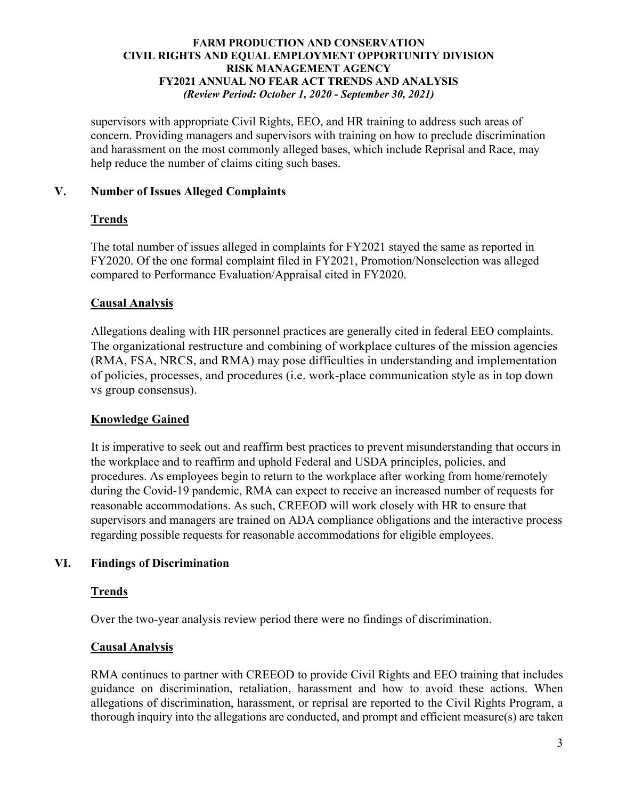supervisors with appropriate Civil Rights, EEO, and HR training to address such areas of concern. Providing managers and supervisors with training on how to preclude discrimination and harassment on the most commonly alleged bases, which include Reprisal and Race, may help reduce the number of claims citing such bases.

# **V. Number of Issues Alleged Complaints**

## **Trends**

The total number of issues alleged in complaints for FY2021 stayed the same as reported in FY2020. Of the one formal complaint filed in FY2021, Promotion/Nonselection was alleged compared to Performance Evaluation/Appraisal cited in FY2020.

## **Causal Analysis**

Allegations dealing with HR personnel practices are generally cited in federal EEO complaints. The organizational restructure and combining of workplace cultures of the mission agencies (RMA, FSA, NRCS, and RMA) may pose difficulties in understanding and implementation of policies, processes, and procedures (i.e. work-place communication style as in top down vs group consensus).

# **Knowledge Gained**

It is imperative to seek out and reaffirm best practices to prevent misunderstanding that occurs in the workplace and to reaffirm and uphold Federal and USDA principles, policies, and procedures. As employees begin to return to the workplace after working from home/remotely during the Covid-19 pandemic, RMA can expect to receive an increased number of requests for reasonable accommodations. As such, CREEOD will work closely with HR to ensure that supervisors and managers are trained on ADA compliance obligations and the interactive process regarding possible requests for reasonable accommodations for eligible employees.

# **VI. Findings of Discrimination**

## **Trends**

Over the two-year analysis review period there were no findings of discrimination.

# **Causal Analysis**

RMA continues to partner with CREEOD to provide Civil Rights and EEO training that includes guidance on discrimination, retaliation, harassment and how to avoid these actions. When allegations of discrimination, harassment, or reprisal are reported to the Civil Rights Program, a thorough inquiry into the allegations are conducted, and prompt and efficient measure(s) are taken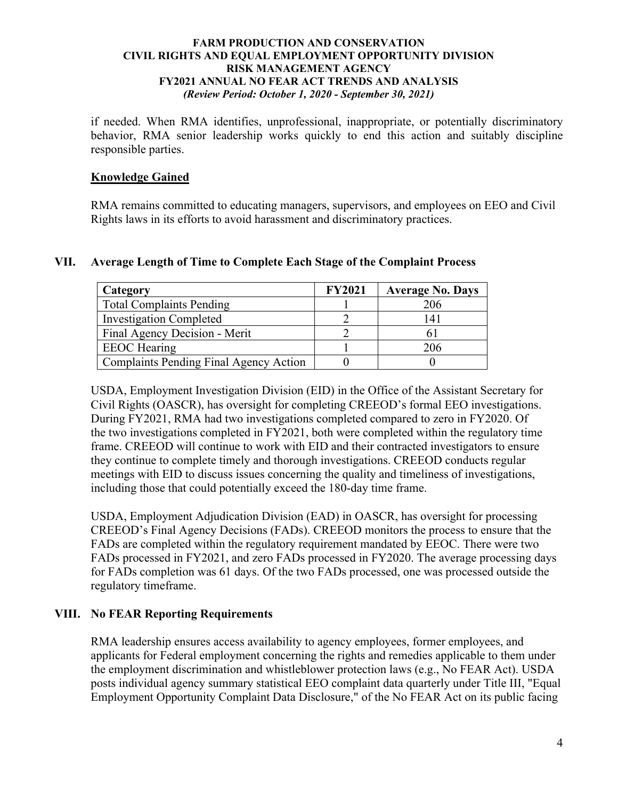if needed. When RMA identifies, unprofessional, inappropriate, or potentially discriminatory behavior, RMA senior leadership works quickly to end this action and suitably discipline responsible parties.

## **Knowledge Gained**

RMA remains committed to educating managers, supervisors, and employees on EEO and Civil Rights laws in its efforts to avoid harassment and discriminatory practices.

## **VII. Average Length of Time to Complete Each Stage of the Complaint Process**

| Category                                      | <b>FY2021</b> | <b>Average No. Days</b> |
|-----------------------------------------------|---------------|-------------------------|
| <b>Total Complaints Pending</b>               |               | 206                     |
| <b>Investigation Completed</b>                |               | $\overline{4}$          |
| Final Agency Decision - Merit                 |               |                         |
| <b>EEOC</b> Hearing                           |               | 206                     |
| <b>Complaints Pending Final Agency Action</b> |               |                         |

USDA, Employment Investigation Division (EID) in the Office of the Assistant Secretary for Civil Rights (OASCR), has oversight for completing CREEOD's formal EEO investigations. During FY2021, RMA had two investigations completed compared to zero in FY2020. Of the two investigations completed in FY2021, both were completed within the regulatory time frame. CREEOD will continue to work with EID and their contracted investigators to ensure they continue to complete timely and thorough investigations. CREEOD conducts regular meetings with EID to discuss issues concerning the quality and timeliness of investigations, including those that could potentially exceed the 180-day time frame.

USDA, Employment Adjudication Division (EAD) in OASCR, has oversight for processing CREEOD's Final Agency Decisions (FADs). CREEOD monitors the process to ensure that the FADs are completed within the regulatory requirement mandated by EEOC. There were two FADs processed in FY2021, and zero FADs processed in FY2020. The average processing days for FADs completion was 61 days. Of the two FADs processed, one was processed outside the regulatory timeframe.

# **VIII. No FEAR Reporting Requirements**

RMA leadership ensures access availability to agency employees, former employees, and applicants for Federal employment concerning the rights and remedies applicable to them under the employment discrimination and whistleblower protection laws (e.g., No FEAR Act). USDA posts individual agency summary statistical EEO complaint data quarterly under Title III, "Equal Employment Opportunity Complaint Data Disclosure," of the No FEAR Act on its public facing